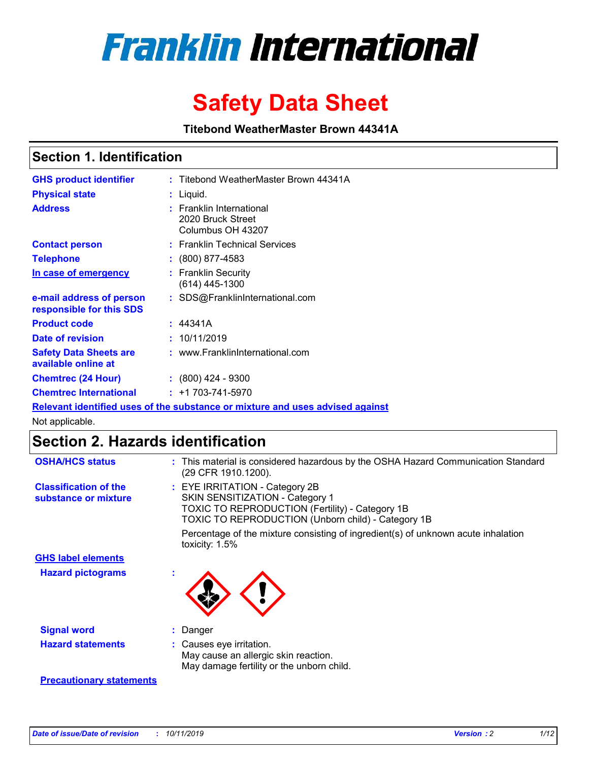

# **Safety Data Sheet**

**Titebond WeatherMaster Brown 44341A**

### **Section 1. Identification**

| <b>GHS product identifier</b>                        | : Titebond WeatherMaster Brown 44341A                                         |
|------------------------------------------------------|-------------------------------------------------------------------------------|
| <b>Physical state</b>                                | : Liquid.                                                                     |
| <b>Address</b>                                       | <b>Franklin International</b><br>2020 Bruck Street<br>Columbus OH 43207       |
| <b>Contact person</b>                                | : Franklin Technical Services                                                 |
| <b>Telephone</b>                                     | $\colon$ (800) 877-4583                                                       |
| In case of emergency                                 | : Franklin Security<br>(614) 445-1300                                         |
| e-mail address of person<br>responsible for this SDS | : SDS@FranklinInternational.com                                               |
| <b>Product code</b>                                  | : 44341A                                                                      |
| Date of revision                                     | : 10/11/2019                                                                  |
| <b>Safety Data Sheets are</b><br>available online at | : www.FranklinInternational.com                                               |
| <b>Chemtrec (24 Hour)</b>                            | $\div$ (800) 424 - 9300                                                       |
| <b>Chemtrec International</b>                        | $: +1703 - 741 - 5970$                                                        |
|                                                      | Relevant identified uses of the substance or mixture and uses advised against |

Not applicable.

## **Section 2. Hazards identification**

| <b>OSHA/HCS status</b>                               | : This material is considered hazardous by the OSHA Hazard Communication Standard<br>(29 CFR 1910.1200).                                                                          |
|------------------------------------------------------|-----------------------------------------------------------------------------------------------------------------------------------------------------------------------------------|
| <b>Classification of the</b><br>substance or mixture | : EYE IRRITATION - Category 2B<br>SKIN SENSITIZATION - Category 1<br><b>TOXIC TO REPRODUCTION (Fertility) - Category 1B</b><br>TOXIC TO REPRODUCTION (Unborn child) - Category 1B |
|                                                      | Percentage of the mixture consisting of ingredient(s) of unknown acute inhalation<br>toxicity: $1.5\%$                                                                            |
| <b>GHS label elements</b>                            |                                                                                                                                                                                   |
| <b>Hazard pictograms</b>                             |                                                                                                                                                                                   |
| <b>Signal word</b>                                   | : Danger                                                                                                                                                                          |
| <b>Hazard statements</b>                             | : Causes eye irritation.<br>May cause an allergic skin reaction.<br>May damage fertility or the unborn child.                                                                     |
| <b>Precautionary statements</b>                      |                                                                                                                                                                                   |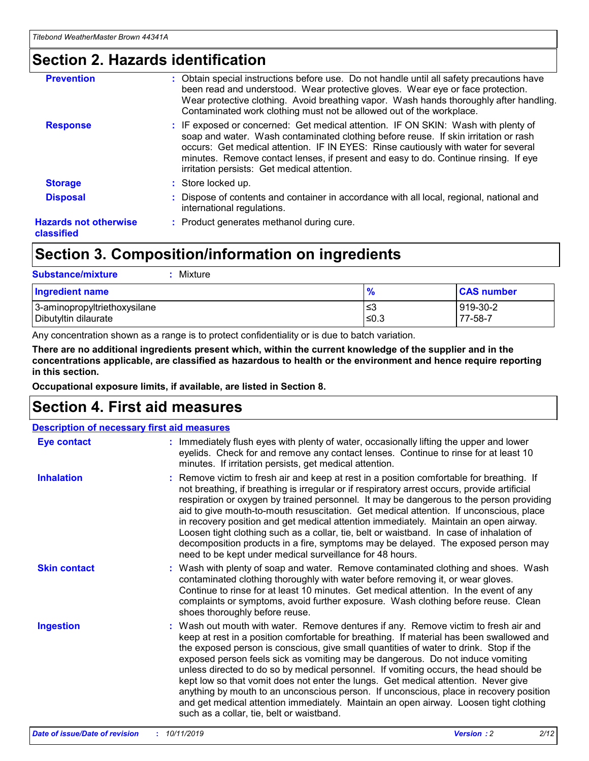### **Section 2. Hazards identification**

| <b>Prevention</b>                          | : Obtain special instructions before use. Do not handle until all safety precautions have<br>been read and understood. Wear protective gloves. Wear eye or face protection.<br>Wear protective clothing. Avoid breathing vapor. Wash hands thoroughly after handling.<br>Contaminated work clothing must not be allowed out of the workplace.                                                        |
|--------------------------------------------|------------------------------------------------------------------------------------------------------------------------------------------------------------------------------------------------------------------------------------------------------------------------------------------------------------------------------------------------------------------------------------------------------|
| <b>Response</b>                            | : IF exposed or concerned: Get medical attention. IF ON SKIN: Wash with plenty of<br>soap and water. Wash contaminated clothing before reuse. If skin irritation or rash<br>occurs: Get medical attention. IF IN EYES: Rinse cautiously with water for several<br>minutes. Remove contact lenses, if present and easy to do. Continue rinsing. If eye<br>irritation persists: Get medical attention. |
| <b>Storage</b>                             | : Store locked up.                                                                                                                                                                                                                                                                                                                                                                                   |
| <b>Disposal</b>                            | : Dispose of contents and container in accordance with all local, regional, national and<br>international regulations.                                                                                                                                                                                                                                                                               |
| <b>Hazards not otherwise</b><br>classified | : Product generates methanol during cure.                                                                                                                                                                                                                                                                                                                                                            |

### **Section 3. Composition/information on ingredients**

| <b>Substance/mixture</b><br>Mixture                  |                   |                     |
|------------------------------------------------------|-------------------|---------------------|
| <b>Ingredient name</b>                               | $\frac{9}{6}$     | <b>CAS number</b>   |
| 3-aminopropyltriethoxysilane<br>Dibutyltin dilaurate | l≤3<br>$\leq 0.3$ | 919-30-2<br>77-58-7 |

Any concentration shown as a range is to protect confidentiality or is due to batch variation.

**There are no additional ingredients present which, within the current knowledge of the supplier and in the concentrations applicable, are classified as hazardous to health or the environment and hence require reporting in this section.**

**Occupational exposure limits, if available, are listed in Section 8.**

### **Section 4. First aid measures**

| <b>Description of necessary first aid measures</b> |                                                                                                                                                                                                                                                                                                                                                                                                                                                                                                                                                                                                                                                                                                                                                                           |  |  |  |
|----------------------------------------------------|---------------------------------------------------------------------------------------------------------------------------------------------------------------------------------------------------------------------------------------------------------------------------------------------------------------------------------------------------------------------------------------------------------------------------------------------------------------------------------------------------------------------------------------------------------------------------------------------------------------------------------------------------------------------------------------------------------------------------------------------------------------------------|--|--|--|
| <b>Eye contact</b>                                 | : Immediately flush eyes with plenty of water, occasionally lifting the upper and lower<br>eyelids. Check for and remove any contact lenses. Continue to rinse for at least 10<br>minutes. If irritation persists, get medical attention.                                                                                                                                                                                                                                                                                                                                                                                                                                                                                                                                 |  |  |  |
| <b>Inhalation</b>                                  | : Remove victim to fresh air and keep at rest in a position comfortable for breathing. If<br>not breathing, if breathing is irregular or if respiratory arrest occurs, provide artificial<br>respiration or oxygen by trained personnel. It may be dangerous to the person providing<br>aid to give mouth-to-mouth resuscitation. Get medical attention. If unconscious, place<br>in recovery position and get medical attention immediately. Maintain an open airway.<br>Loosen tight clothing such as a collar, tie, belt or waistband. In case of inhalation of<br>decomposition products in a fire, symptoms may be delayed. The exposed person may<br>need to be kept under medical surveillance for 48 hours.                                                       |  |  |  |
| <b>Skin contact</b>                                | : Wash with plenty of soap and water. Remove contaminated clothing and shoes. Wash<br>contaminated clothing thoroughly with water before removing it, or wear gloves.<br>Continue to rinse for at least 10 minutes. Get medical attention. In the event of any<br>complaints or symptoms, avoid further exposure. Wash clothing before reuse. Clean<br>shoes thoroughly before reuse.                                                                                                                                                                                                                                                                                                                                                                                     |  |  |  |
| <b>Ingestion</b>                                   | : Wash out mouth with water. Remove dentures if any. Remove victim to fresh air and<br>keep at rest in a position comfortable for breathing. If material has been swallowed and<br>the exposed person is conscious, give small quantities of water to drink. Stop if the<br>exposed person feels sick as vomiting may be dangerous. Do not induce vomiting<br>unless directed to do so by medical personnel. If vomiting occurs, the head should be<br>kept low so that vomit does not enter the lungs. Get medical attention. Never give<br>anything by mouth to an unconscious person. If unconscious, place in recovery position<br>and get medical attention immediately. Maintain an open airway. Loosen tight clothing<br>such as a collar, tie, belt or waistband. |  |  |  |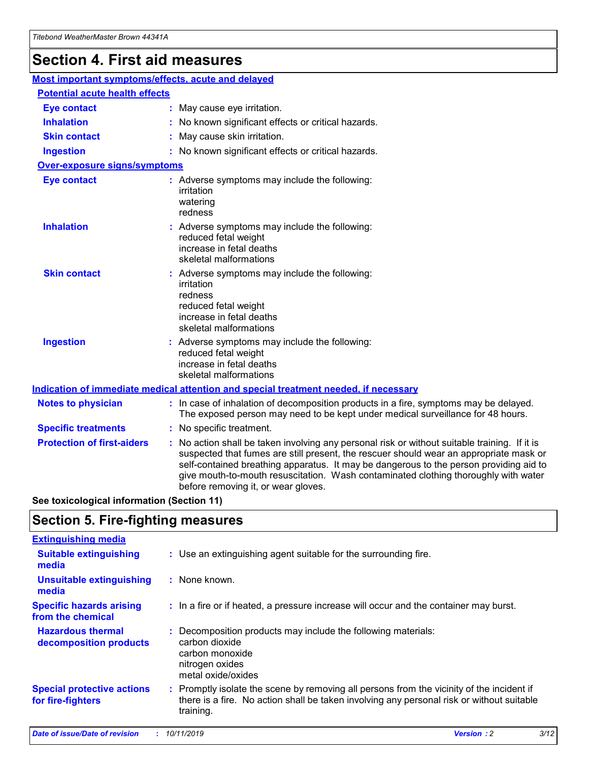## **Section 4. First aid measures**

| Most important symptoms/effects, acute and delayed |  |                                                                                                                                                                                                                                                                                                                                                                                                                 |
|----------------------------------------------------|--|-----------------------------------------------------------------------------------------------------------------------------------------------------------------------------------------------------------------------------------------------------------------------------------------------------------------------------------------------------------------------------------------------------------------|
| <b>Potential acute health effects</b>              |  |                                                                                                                                                                                                                                                                                                                                                                                                                 |
| Eye contact                                        |  | : May cause eye irritation.                                                                                                                                                                                                                                                                                                                                                                                     |
| <b>Inhalation</b>                                  |  | : No known significant effects or critical hazards.                                                                                                                                                                                                                                                                                                                                                             |
| <b>Skin contact</b>                                |  | : May cause skin irritation.                                                                                                                                                                                                                                                                                                                                                                                    |
| <b>Ingestion</b>                                   |  | : No known significant effects or critical hazards.                                                                                                                                                                                                                                                                                                                                                             |
| Over-exposure signs/symptoms                       |  |                                                                                                                                                                                                                                                                                                                                                                                                                 |
| <b>Eye contact</b>                                 |  | : Adverse symptoms may include the following:<br>irritation<br>watering<br>redness                                                                                                                                                                                                                                                                                                                              |
| <b>Inhalation</b>                                  |  | : Adverse symptoms may include the following:<br>reduced fetal weight<br>increase in fetal deaths<br>skeletal malformations                                                                                                                                                                                                                                                                                     |
| <b>Skin contact</b>                                |  | : Adverse symptoms may include the following:<br>irritation<br>redness<br>reduced fetal weight<br>increase in fetal deaths<br>skeletal malformations                                                                                                                                                                                                                                                            |
| <b>Ingestion</b>                                   |  | : Adverse symptoms may include the following:<br>reduced fetal weight<br>increase in fetal deaths<br>skeletal malformations                                                                                                                                                                                                                                                                                     |
|                                                    |  | <b>Indication of immediate medical attention and special treatment needed, if necessary</b>                                                                                                                                                                                                                                                                                                                     |
| <b>Notes to physician</b>                          |  | : In case of inhalation of decomposition products in a fire, symptoms may be delayed.<br>The exposed person may need to be kept under medical surveillance for 48 hours.                                                                                                                                                                                                                                        |
| <b>Specific treatments</b>                         |  | : No specific treatment.                                                                                                                                                                                                                                                                                                                                                                                        |
| <b>Protection of first-aiders</b>                  |  | : No action shall be taken involving any personal risk or without suitable training. If it is<br>suspected that fumes are still present, the rescuer should wear an appropriate mask or<br>self-contained breathing apparatus. It may be dangerous to the person providing aid to<br>give mouth-to-mouth resuscitation. Wash contaminated clothing thoroughly with water<br>before removing it, or wear gloves. |

**See toxicological information (Section 11)**

### **Section 5. Fire-fighting measures**

| <b>Extinguishing media</b>                             |                                                                                                                                                                                                     |
|--------------------------------------------------------|-----------------------------------------------------------------------------------------------------------------------------------------------------------------------------------------------------|
| <b>Suitable extinguishing</b><br>media                 | : Use an extinguishing agent suitable for the surrounding fire.                                                                                                                                     |
| <b>Unsuitable extinguishing</b><br>media               | : None known.                                                                                                                                                                                       |
| <b>Specific hazards arising</b><br>from the chemical   | : In a fire or if heated, a pressure increase will occur and the container may burst.                                                                                                               |
| <b>Hazardous thermal</b><br>decomposition products     | : Decomposition products may include the following materials:<br>carbon dioxide<br>carbon monoxide<br>nitrogen oxides<br>metal oxide/oxides                                                         |
| <b>Special protective actions</b><br>for fire-fighters | : Promptly isolate the scene by removing all persons from the vicinity of the incident if<br>there is a fire. No action shall be taken involving any personal risk or without suitable<br>training. |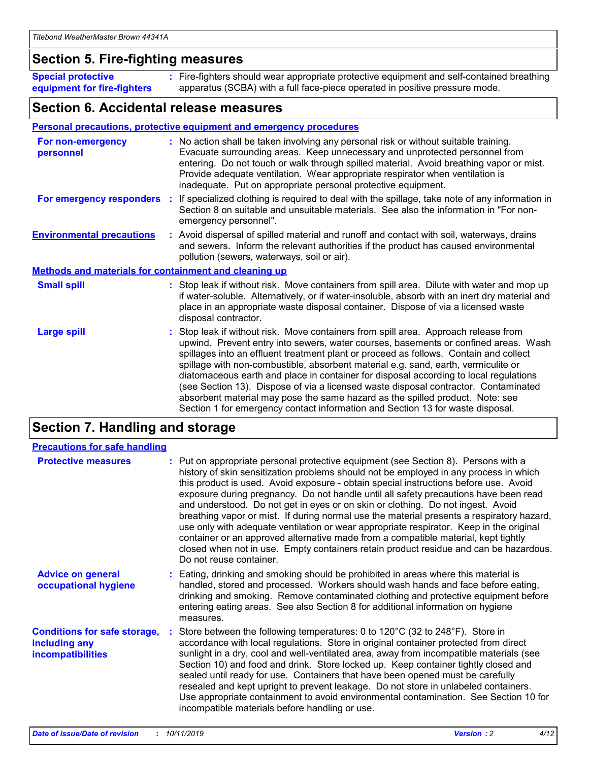### **Section 5. Fire-fighting measures**

**Special protective equipment for fire-fighters** Fire-fighters should wear appropriate protective equipment and self-contained breathing **:** apparatus (SCBA) with a full face-piece operated in positive pressure mode.

### **Section 6. Accidental release measures**

#### **Personal precautions, protective equipment and emergency procedures**

| For non-emergency<br>personnel                               | : No action shall be taken involving any personal risk or without suitable training.<br>Evacuate surrounding areas. Keep unnecessary and unprotected personnel from<br>entering. Do not touch or walk through spilled material. Avoid breathing vapor or mist.<br>Provide adequate ventilation. Wear appropriate respirator when ventilation is<br>inadequate. Put on appropriate personal protective equipment.                                                                                                                                                                                                                                                                                             |
|--------------------------------------------------------------|--------------------------------------------------------------------------------------------------------------------------------------------------------------------------------------------------------------------------------------------------------------------------------------------------------------------------------------------------------------------------------------------------------------------------------------------------------------------------------------------------------------------------------------------------------------------------------------------------------------------------------------------------------------------------------------------------------------|
|                                                              | For emergency responders : If specialized clothing is required to deal with the spillage, take note of any information in<br>Section 8 on suitable and unsuitable materials. See also the information in "For non-<br>emergency personnel".                                                                                                                                                                                                                                                                                                                                                                                                                                                                  |
| <b>Environmental precautions</b>                             | : Avoid dispersal of spilled material and runoff and contact with soil, waterways, drains<br>and sewers. Inform the relevant authorities if the product has caused environmental<br>pollution (sewers, waterways, soil or air).                                                                                                                                                                                                                                                                                                                                                                                                                                                                              |
| <b>Methods and materials for containment and cleaning up</b> |                                                                                                                                                                                                                                                                                                                                                                                                                                                                                                                                                                                                                                                                                                              |
| <b>Small spill</b>                                           | : Stop leak if without risk. Move containers from spill area. Dilute with water and mop up<br>if water-soluble. Alternatively, or if water-insoluble, absorb with an inert dry material and<br>place in an appropriate waste disposal container. Dispose of via a licensed waste<br>disposal contractor.                                                                                                                                                                                                                                                                                                                                                                                                     |
| <b>Large spill</b>                                           | : Stop leak if without risk. Move containers from spill area. Approach release from<br>upwind. Prevent entry into sewers, water courses, basements or confined areas. Wash<br>spillages into an effluent treatment plant or proceed as follows. Contain and collect<br>spillage with non-combustible, absorbent material e.g. sand, earth, vermiculite or<br>diatomaceous earth and place in container for disposal according to local regulations<br>(see Section 13). Dispose of via a licensed waste disposal contractor. Contaminated<br>absorbent material may pose the same hazard as the spilled product. Note: see<br>Section 1 for emergency contact information and Section 13 for waste disposal. |

### **Section 7. Handling and storage**

| <b>Precautions for safe handling</b>                                             |                                                                                                                                                                                                                                                                                                                                                                                                                                                                                                                                                                                                                                                                                                                                                                                                                                                  |
|----------------------------------------------------------------------------------|--------------------------------------------------------------------------------------------------------------------------------------------------------------------------------------------------------------------------------------------------------------------------------------------------------------------------------------------------------------------------------------------------------------------------------------------------------------------------------------------------------------------------------------------------------------------------------------------------------------------------------------------------------------------------------------------------------------------------------------------------------------------------------------------------------------------------------------------------|
| <b>Protective measures</b>                                                       | : Put on appropriate personal protective equipment (see Section 8). Persons with a<br>history of skin sensitization problems should not be employed in any process in which<br>this product is used. Avoid exposure - obtain special instructions before use. Avoid<br>exposure during pregnancy. Do not handle until all safety precautions have been read<br>and understood. Do not get in eyes or on skin or clothing. Do not ingest. Avoid<br>breathing vapor or mist. If during normal use the material presents a respiratory hazard,<br>use only with adequate ventilation or wear appropriate respirator. Keep in the original<br>container or an approved alternative made from a compatible material, kept tightly<br>closed when not in use. Empty containers retain product residue and can be hazardous.<br>Do not reuse container. |
| <b>Advice on general</b><br>occupational hygiene                                 | : Eating, drinking and smoking should be prohibited in areas where this material is<br>handled, stored and processed. Workers should wash hands and face before eating,<br>drinking and smoking. Remove contaminated clothing and protective equipment before<br>entering eating areas. See also Section 8 for additional information on hygiene<br>measures.                                                                                                                                                                                                                                                                                                                                                                                                                                                                                    |
| <b>Conditions for safe storage,</b><br>including any<br><b>incompatibilities</b> | : Store between the following temperatures: 0 to 120 $\degree$ C (32 to 248 $\degree$ F). Store in<br>accordance with local regulations. Store in original container protected from direct<br>sunlight in a dry, cool and well-ventilated area, away from incompatible materials (see<br>Section 10) and food and drink. Store locked up. Keep container tightly closed and<br>sealed until ready for use. Containers that have been opened must be carefully<br>resealed and kept upright to prevent leakage. Do not store in unlabeled containers.<br>Use appropriate containment to avoid environmental contamination. See Section 10 for<br>incompatible materials before handling or use.                                                                                                                                                   |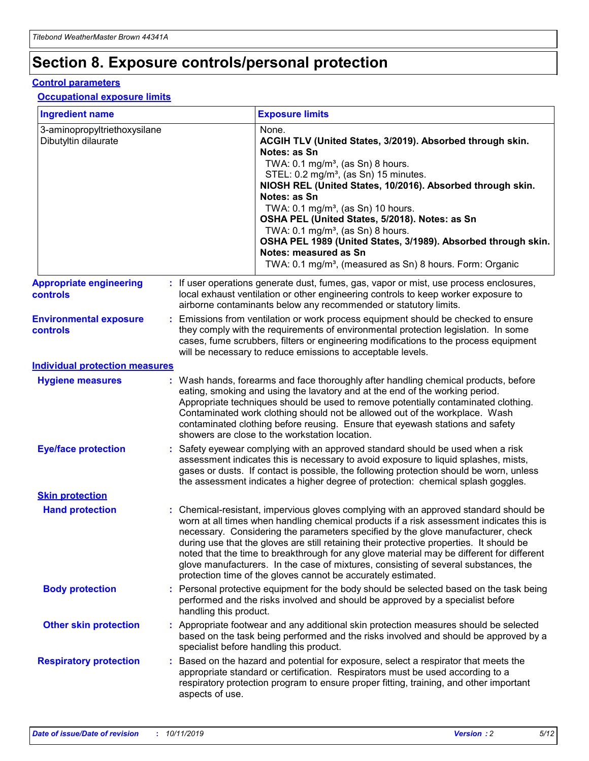## **Section 8. Exposure controls/personal protection**

#### **Control parameters**

#### **Occupational exposure limits**

| <b>Ingredient name</b>                               |    |                        | <b>Exposure limits</b>                                                                                                                                                                                                                                                                                                                                                                                                                                                                                                                                                                                                 |
|------------------------------------------------------|----|------------------------|------------------------------------------------------------------------------------------------------------------------------------------------------------------------------------------------------------------------------------------------------------------------------------------------------------------------------------------------------------------------------------------------------------------------------------------------------------------------------------------------------------------------------------------------------------------------------------------------------------------------|
| 3-aminopropyltriethoxysilane<br>Dibutyltin dilaurate |    |                        | None.<br>ACGIH TLV (United States, 3/2019). Absorbed through skin.<br>Notes: as Sn<br>TWA: 0.1 mg/m <sup>3</sup> , (as Sn) 8 hours.<br>STEL: 0.2 mg/m <sup>3</sup> , (as Sn) 15 minutes.<br>NIOSH REL (United States, 10/2016). Absorbed through skin.<br>Notes: as Sn<br>TWA: 0.1 mg/m <sup>3</sup> , (as Sn) 10 hours.<br>OSHA PEL (United States, 5/2018). Notes: as Sn<br>TWA: $0.1 \text{ mg/m}^3$ , (as Sn) 8 hours.<br>OSHA PEL 1989 (United States, 3/1989). Absorbed through skin.<br>Notes: measured as Sn<br>TWA: 0.1 mg/m <sup>3</sup> , (measured as Sn) 8 hours. Form: Organic                           |
| <b>Appropriate engineering</b><br>controls           |    |                        | : If user operations generate dust, fumes, gas, vapor or mist, use process enclosures,<br>local exhaust ventilation or other engineering controls to keep worker exposure to<br>airborne contaminants below any recommended or statutory limits.                                                                                                                                                                                                                                                                                                                                                                       |
| <b>Environmental exposure</b><br><b>controls</b>     |    |                        | Emissions from ventilation or work process equipment should be checked to ensure<br>they comply with the requirements of environmental protection legislation. In some<br>cases, fume scrubbers, filters or engineering modifications to the process equipment<br>will be necessary to reduce emissions to acceptable levels.                                                                                                                                                                                                                                                                                          |
| <b>Individual protection measures</b>                |    |                        |                                                                                                                                                                                                                                                                                                                                                                                                                                                                                                                                                                                                                        |
| <b>Hygiene measures</b>                              |    |                        | : Wash hands, forearms and face thoroughly after handling chemical products, before<br>eating, smoking and using the lavatory and at the end of the working period.<br>Appropriate techniques should be used to remove potentially contaminated clothing.<br>Contaminated work clothing should not be allowed out of the workplace. Wash<br>contaminated clothing before reusing. Ensure that eyewash stations and safety<br>showers are close to the workstation location.                                                                                                                                            |
| <b>Eye/face protection</b>                           |    |                        | : Safety eyewear complying with an approved standard should be used when a risk<br>assessment indicates this is necessary to avoid exposure to liquid splashes, mists,<br>gases or dusts. If contact is possible, the following protection should be worn, unless<br>the assessment indicates a higher degree of protection: chemical splash goggles.                                                                                                                                                                                                                                                                  |
| <b>Skin protection</b>                               |    |                        |                                                                                                                                                                                                                                                                                                                                                                                                                                                                                                                                                                                                                        |
| <b>Hand protection</b>                               |    |                        | : Chemical-resistant, impervious gloves complying with an approved standard should be<br>worn at all times when handling chemical products if a risk assessment indicates this is<br>necessary. Considering the parameters specified by the glove manufacturer, check<br>during use that the gloves are still retaining their protective properties. It should be<br>noted that the time to breakthrough for any glove material may be different for different<br>glove manufacturers. In the case of mixtures, consisting of several substances, the<br>protection time of the gloves cannot be accurately estimated. |
| <b>Body protection</b>                               |    | handling this product. | Personal protective equipment for the body should be selected based on the task being<br>performed and the risks involved and should be approved by a specialist before                                                                                                                                                                                                                                                                                                                                                                                                                                                |
| <b>Other skin protection</b>                         |    |                        | : Appropriate footwear and any additional skin protection measures should be selected<br>based on the task being performed and the risks involved and should be approved by a<br>specialist before handling this product.                                                                                                                                                                                                                                                                                                                                                                                              |
| <b>Respiratory protection</b>                        | ÷. | aspects of use.        | Based on the hazard and potential for exposure, select a respirator that meets the<br>appropriate standard or certification. Respirators must be used according to a<br>respiratory protection program to ensure proper fitting, training, and other important                                                                                                                                                                                                                                                                                                                                                         |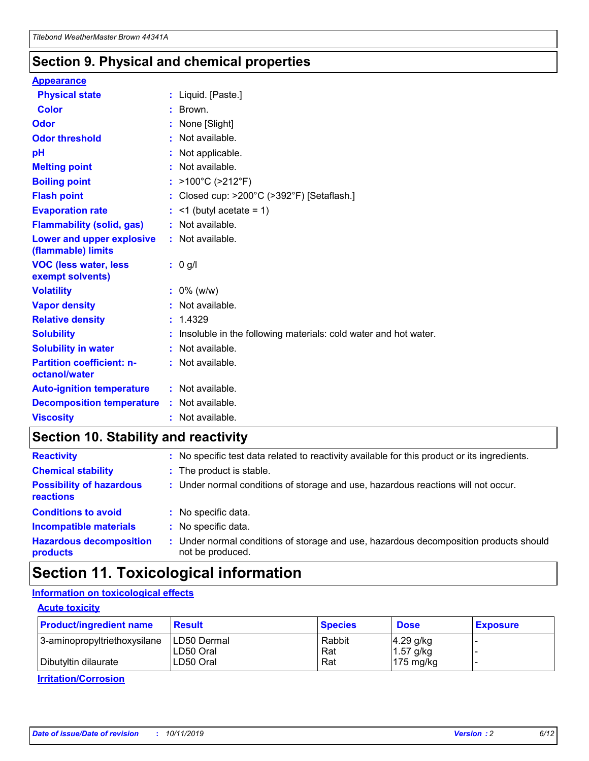### **Section 9. Physical and chemical properties**

#### **Appearance**

| <b>Physical state</b>                             | : Liquid. [Paste.]                                                |
|---------------------------------------------------|-------------------------------------------------------------------|
| <b>Color</b>                                      | : Brown.                                                          |
| Odor                                              | : None [Slight]                                                   |
| <b>Odor threshold</b>                             | : Not available.                                                  |
| рH                                                | : Not applicable.                                                 |
| <b>Melting point</b>                              | : Not available.                                                  |
| <b>Boiling point</b>                              | : >100°C (>212°F)                                                 |
| <b>Flash point</b>                                | : Closed cup: >200°C (>392°F) [Setaflash.]                        |
| <b>Evaporation rate</b>                           | $:$ <1 (butyl acetate = 1)                                        |
| <b>Flammability (solid, gas)</b>                  | : Not available.                                                  |
| Lower and upper explosive<br>(flammable) limits   | : Not available.                                                  |
| <b>VOC (less water, less</b><br>exempt solvents)  | : 0 g/l                                                           |
| <b>Volatility</b>                                 | $: 0\%$ (w/w)                                                     |
| <b>Vapor density</b>                              | : Not available.                                                  |
| <b>Relative density</b>                           | : 1.4329                                                          |
| <b>Solubility</b>                                 | : Insoluble in the following materials: cold water and hot water. |
| <b>Solubility in water</b>                        | : Not available.                                                  |
| <b>Partition coefficient: n-</b><br>octanol/water | $:$ Not available.                                                |
| <b>Auto-ignition temperature</b>                  | : Not available.                                                  |
| <b>Decomposition temperature</b>                  | : Not available.                                                  |
| <b>Viscosity</b>                                  | : Not available.                                                  |

### **Section 10. Stability and reactivity**

| <b>Reactivity</b>                            | : No specific test data related to reactivity available for this product or its ingredients.              |
|----------------------------------------------|-----------------------------------------------------------------------------------------------------------|
| <b>Chemical stability</b>                    | : The product is stable.                                                                                  |
| <b>Possibility of hazardous</b><br>reactions | : Under normal conditions of storage and use, hazardous reactions will not occur.                         |
| <b>Conditions to avoid</b>                   | : No specific data.                                                                                       |
| <b>Incompatible materials</b>                | : No specific data.                                                                                       |
| <b>Hazardous decomposition</b><br>products   | : Under normal conditions of storage and use, hazardous decomposition products should<br>not be produced. |

## **Section 11. Toxicological information**

### **Information on toxicological effects**

#### **Acute toxicity**

| <b>Product/ingredient name</b> | <b>Result</b> | <b>Species</b> | <b>Dose</b>         | <b>Exposure</b> |
|--------------------------------|---------------|----------------|---------------------|-----------------|
| 3-aminopropyltriethoxysilane   | ILD50 Dermal  | Rabbit         | $4.29$ g/kg         |                 |
|                                | ILD50 Oral    | Rat            | $1.57$ g/kg         |                 |
| Dibutyltin dilaurate           | LD50 Oral     | Rat            | $175 \text{ mg/kg}$ |                 |

**Irritation/Corrosion**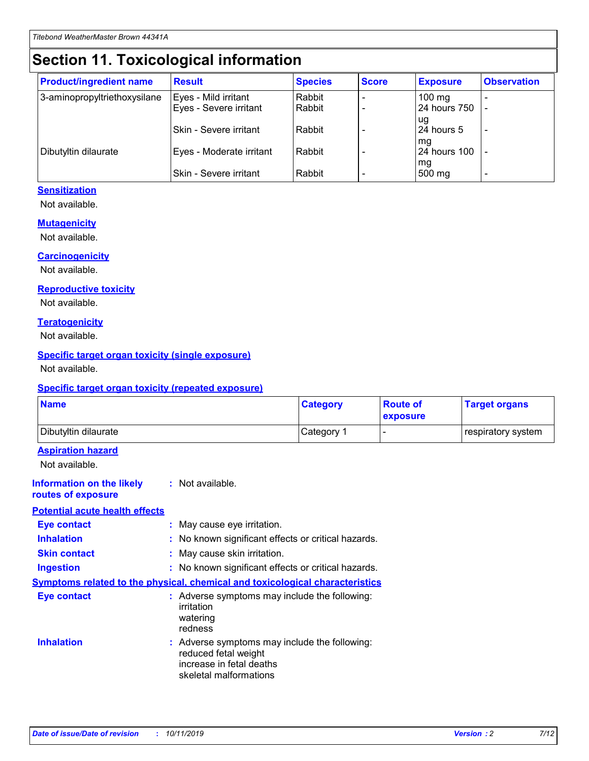## **Section 11. Toxicological information**

| <b>Product/ingredient name</b> | <b>Result</b>            | <b>Species</b> | <b>Score</b> | <b>Exposure</b>     | <b>Observation</b> |
|--------------------------------|--------------------------|----------------|--------------|---------------------|--------------------|
| 3-aminopropyltriethoxysilane   | Eyes - Mild irritant     | Rabbit         |              | $100 \text{ mg}$    |                    |
|                                | Eyes - Severe irritant   | Rabbit         |              | 24 hours 750        |                    |
|                                |                          |                |              | ug                  |                    |
|                                | Skin - Severe irritant   | Rabbit         |              | 24 hours 5          |                    |
|                                |                          |                |              | mq                  |                    |
| Dibutyltin dilaurate           | Eyes - Moderate irritant | Rabbit         |              | <b>24 hours 100</b> |                    |
|                                | Skin - Severe irritant   | Rabbit         |              | mg<br>500 mg        |                    |
|                                |                          |                |              |                     |                    |

#### **Sensitization**

Not available.

#### **Mutagenicity**

Not available.

#### **Carcinogenicity**

Not available.

#### **Reproductive toxicity**

Not available.

#### **Teratogenicity**

Not available.

#### **Specific target organ toxicity (single exposure)**

Not available.

#### **Specific target organ toxicity (repeated exposure)**

| <b>Name</b>                                                                  |                                                                                                                             | <b>Category</b> | <b>Route of</b><br>exposure  | <b>Target organs</b> |
|------------------------------------------------------------------------------|-----------------------------------------------------------------------------------------------------------------------------|-----------------|------------------------------|----------------------|
| Dibutyltin dilaurate                                                         |                                                                                                                             | Category 1      | $\qquad \qquad \blacksquare$ | respiratory system   |
| <b>Aspiration hazard</b><br>Not available.                                   |                                                                                                                             |                 |                              |                      |
| <b>Information on the likely</b><br>routes of exposure                       | : Not available.                                                                                                            |                 |                              |                      |
| <b>Potential acute health effects</b>                                        |                                                                                                                             |                 |                              |                      |
| <b>Eye contact</b>                                                           | : May cause eye irritation.                                                                                                 |                 |                              |                      |
| <b>Inhalation</b>                                                            | : No known significant effects or critical hazards.                                                                         |                 |                              |                      |
| <b>Skin contact</b>                                                          | : May cause skin irritation.                                                                                                |                 |                              |                      |
| <b>Ingestion</b>                                                             | : No known significant effects or critical hazards.                                                                         |                 |                              |                      |
| Symptoms related to the physical, chemical and toxicological characteristics |                                                                                                                             |                 |                              |                      |
| <b>Eye contact</b>                                                           | : Adverse symptoms may include the following:<br>irritation<br>watering<br>redness                                          |                 |                              |                      |
| <b>Inhalation</b>                                                            | : Adverse symptoms may include the following:<br>reduced fetal weight<br>increase in fetal deaths<br>skeletal malformations |                 |                              |                      |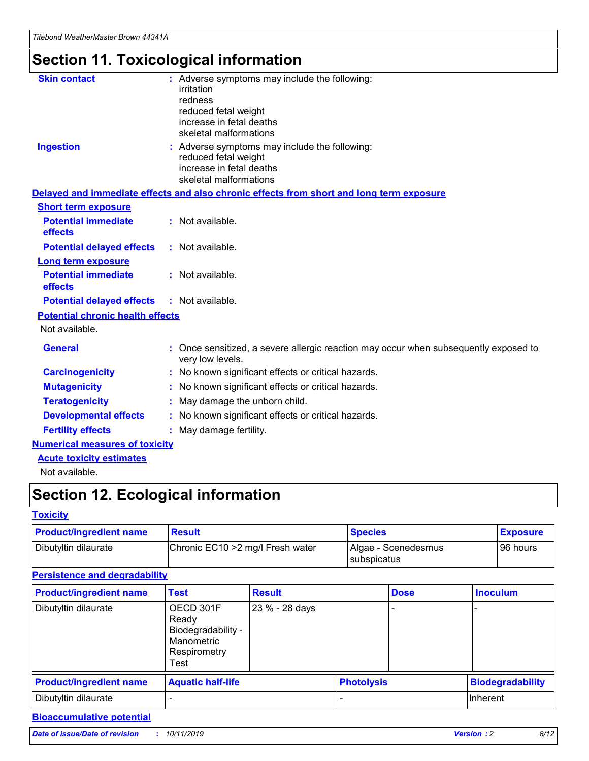# **Section 11. Toxicological information**

| <b>Skin contact</b>                     | : Adverse symptoms may include the following:<br>irritation<br>redness<br>reduced fetal weight<br>increase in fetal deaths<br>skeletal malformations |  |
|-----------------------------------------|------------------------------------------------------------------------------------------------------------------------------------------------------|--|
| <b>Ingestion</b>                        | : Adverse symptoms may include the following:<br>reduced fetal weight<br>increase in fetal deaths<br>skeletal malformations                          |  |
|                                         | Delayed and immediate effects and also chronic effects from short and long term exposure                                                             |  |
| <b>Short term exposure</b>              |                                                                                                                                                      |  |
| <b>Potential immediate</b><br>effects   | : Not available.                                                                                                                                     |  |
| <b>Potential delayed effects</b>        | : Not available.                                                                                                                                     |  |
| <b>Long term exposure</b>               |                                                                                                                                                      |  |
| <b>Potential immediate</b><br>effects   | : Not available.                                                                                                                                     |  |
| <b>Potential delayed effects</b>        | : Not available.                                                                                                                                     |  |
| <b>Potential chronic health effects</b> |                                                                                                                                                      |  |
| Not available.                          |                                                                                                                                                      |  |
| <b>General</b>                          | : Once sensitized, a severe allergic reaction may occur when subsequently exposed to<br>very low levels.                                             |  |
| <b>Carcinogenicity</b>                  | : No known significant effects or critical hazards.                                                                                                  |  |
| <b>Mutagenicity</b>                     | : No known significant effects or critical hazards.                                                                                                  |  |
| <b>Teratogenicity</b>                   | May damage the unborn child.                                                                                                                         |  |
| <b>Developmental effects</b>            | : No known significant effects or critical hazards.                                                                                                  |  |
| <b>Fertility effects</b>                | May damage fertility.                                                                                                                                |  |
| <b>Numerical measures of toxicity</b>   |                                                                                                                                                      |  |
| <b>Acute toxicity estimates</b>         |                                                                                                                                                      |  |
| الملحلة والمستحقق فالمرابط              |                                                                                                                                                      |  |

Not available.

## **Section 12. Ecological information**

#### **Toxicity**

| <b>Product/ingredient name</b> | <b>Result</b>                     | <b>Species</b>                       | <b>Exposure</b> |
|--------------------------------|-----------------------------------|--------------------------------------|-----------------|
| Dibutyltin dilaurate           | Chronic EC10 > 2 mg/l Fresh water | Algae - Scenedesmus<br>I subspicatus | l 96 hours i    |

### **Persistence and degradability**

| <b>Product/ingredient name</b> | <b>Test</b>                                                                    | <b>Result</b>  |                   | <b>Dose</b> | <b>Inoculum</b>         |
|--------------------------------|--------------------------------------------------------------------------------|----------------|-------------------|-------------|-------------------------|
| Dibutyltin dilaurate           | OECD 301F<br>Ready<br>Biodegradability -<br>Manometric<br>Respirometry<br>Test | 23 % - 28 days |                   |             |                         |
| <b>Product/ingredient name</b> | <b>Aquatic half-life</b>                                                       |                | <b>Photolysis</b> |             | <b>Biodegradability</b> |
| Dibutyltin dilaurate           |                                                                                |                |                   |             | Inherent                |

### **Bioaccumulative potential**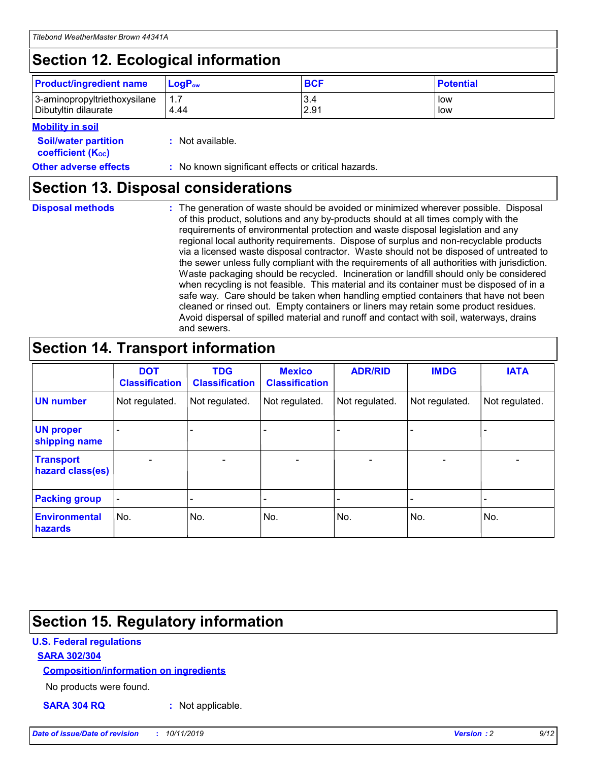## **Section 12. Ecological information**

| <b>Product/ingredient name</b> | $LoaPow$ | <b>BCF</b> | <b>Potential</b> |
|--------------------------------|----------|------------|------------------|
| 3-aminopropyltriethoxysilane   | 1.7      | 3.4        | low              |
| Dibutyltin dilaurate           | 4.44     | 2.91       | low              |

#### **Mobility in soil**

| <b>Soil/water partition</b><br>coefficient (K <sub>oc</sub> ) | : Not available.                                    |
|---------------------------------------------------------------|-----------------------------------------------------|
| <b>Other adverse effects</b>                                  | : No known significant effects or critical hazards. |

### **Section 13. Disposal considerations**

**Disposal methods :**

The generation of waste should be avoided or minimized wherever possible. Disposal of this product, solutions and any by-products should at all times comply with the requirements of environmental protection and waste disposal legislation and any regional local authority requirements. Dispose of surplus and non-recyclable products via a licensed waste disposal contractor. Waste should not be disposed of untreated to the sewer unless fully compliant with the requirements of all authorities with jurisdiction. Waste packaging should be recycled. Incineration or landfill should only be considered when recycling is not feasible. This material and its container must be disposed of in a safe way. Care should be taken when handling emptied containers that have not been cleaned or rinsed out. Empty containers or liners may retain some product residues. Avoid dispersal of spilled material and runoff and contact with soil, waterways, drains and sewers.

## **Section 14. Transport information**

|                                      | <b>DOT</b><br><b>Classification</b> | <b>TDG</b><br><b>Classification</b> | <b>Mexico</b><br><b>Classification</b> | <b>ADR/RID</b>               | <b>IMDG</b>    | <b>IATA</b>              |
|--------------------------------------|-------------------------------------|-------------------------------------|----------------------------------------|------------------------------|----------------|--------------------------|
| <b>UN number</b>                     | Not regulated.                      | Not regulated.                      | Not regulated.                         | Not regulated.               | Not regulated. | Not regulated.           |
| <b>UN proper</b><br>shipping name    |                                     |                                     |                                        |                              |                |                          |
| <b>Transport</b><br>hazard class(es) | $\blacksquare$                      | $\overline{\phantom{0}}$            | $\overline{\phantom{a}}$               | $\qquad \qquad \blacksquare$ | $\blacksquare$ | $\overline{\phantom{0}}$ |
| <b>Packing group</b>                 | $\overline{\phantom{a}}$            | -                                   |                                        | -                            |                | -                        |
| <b>Environmental</b><br>hazards      | No.                                 | No.                                 | No.                                    | No.                          | No.            | No.                      |

## **Section 15. Regulatory information**

#### **U.S. Federal regulations**

#### **SARA 302/304**

#### **Composition/information on ingredients**

No products were found.

**SARA 304 RQ :** Not applicable.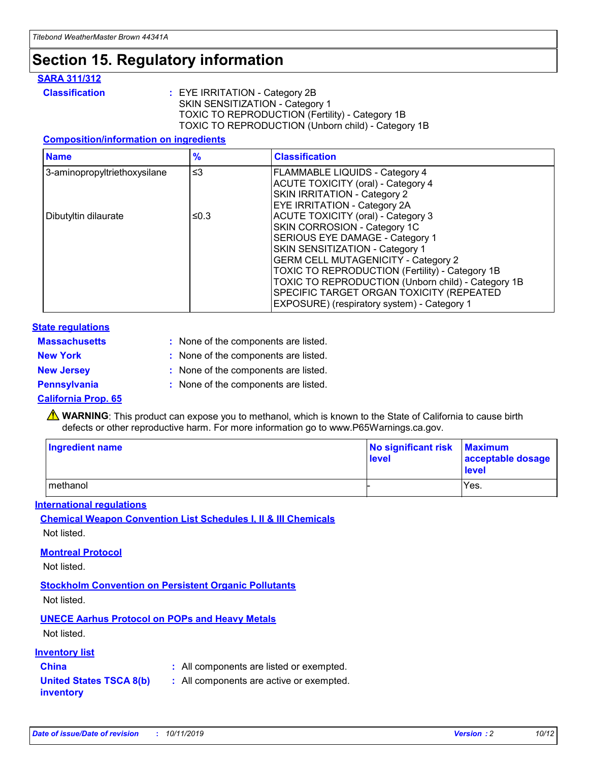## **Section 15. Regulatory information**

#### **SARA 311/312**

**Classification :** EYE IRRITATION - Category 2B SKIN SENSITIZATION - Category 1 TOXIC TO REPRODUCTION (Fertility) - Category 1B TOXIC TO REPRODUCTION (Unborn child) - Category 1B

#### **Composition/information on ingredients**

| <b>Name</b>                  | $\frac{9}{6}$ | <b>Classification</b>                                                                                            |
|------------------------------|---------------|------------------------------------------------------------------------------------------------------------------|
| 3-aminopropyltriethoxysilane | $\leq$ 3      | <b>FLAMMABLE LIQUIDS - Category 4</b><br><b>ACUTE TOXICITY (oral) - Category 4</b>                               |
|                              |               | SKIN IRRITATION - Category 2<br><b>EYE IRRITATION - Category 2A</b>                                              |
| Dibutyltin dilaurate         | ≤0.3          | ACUTE TOXICITY (oral) - Category 3<br>SKIN CORROSION - Category 1C                                               |
|                              |               | SERIOUS EYE DAMAGE - Category 1<br>SKIN SENSITIZATION - Category 1<br><b>GERM CELL MUTAGENICITY - Category 2</b> |
|                              |               | TOXIC TO REPRODUCTION (Fertility) - Category 1B<br>TOXIC TO REPRODUCTION (Unborn child) - Category 1B            |
|                              |               | SPECIFIC TARGET ORGAN TOXICITY (REPEATED<br>EXPOSURE) (respiratory system) - Category 1                          |

#### **State regulations**

| <b>Massachusetts</b> | : None of the components are listed. |
|----------------------|--------------------------------------|
| <b>New York</b>      | : None of the components are listed. |
| <b>New Jersey</b>    | : None of the components are listed. |
| <b>Pennsylvania</b>  | : None of the components are listed. |

#### **California Prop. 65**

**A** WARNING: This product can expose you to methanol, which is known to the State of California to cause birth defects or other reproductive harm. For more information go to www.P65Warnings.ca.gov.

| <b>Ingredient name</b> | No significant risk Maximum<br>level | acceptable dosage<br>level |
|------------------------|--------------------------------------|----------------------------|
| methanol               |                                      | Yes.                       |

#### **International regulations**

**Chemical Weapon Convention List Schedules I, II & III Chemicals** Not listed.

#### **Montreal Protocol**

Not listed.

#### **Stockholm Convention on Persistent Organic Pollutants**

Not listed.

### **UNECE Aarhus Protocol on POPs and Heavy Metals**

Not listed.

#### **Inventory list**

### **China :** All components are listed or exempted.

**United States TSCA 8(b) inventory :** All components are active or exempted.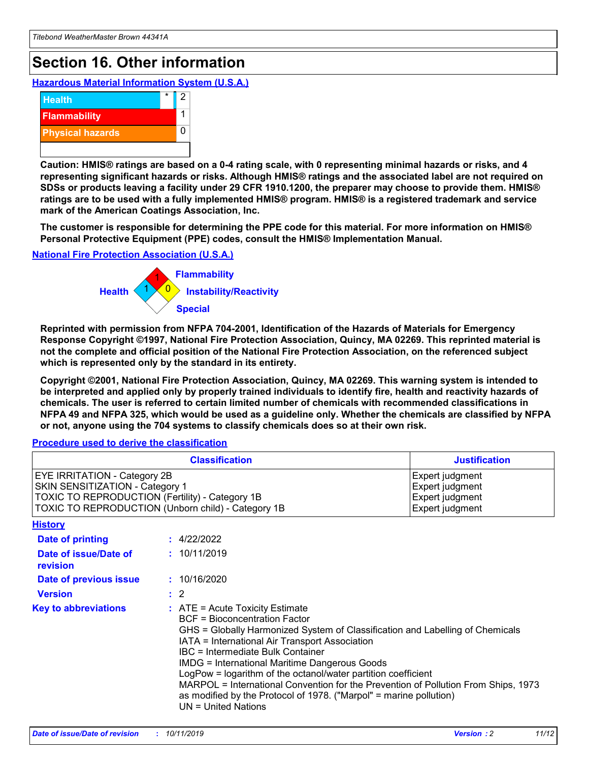## **Section 16. Other information**

**Hazardous Material Information System (U.S.A.)**



**Caution: HMIS® ratings are based on a 0-4 rating scale, with 0 representing minimal hazards or risks, and 4 representing significant hazards or risks. Although HMIS® ratings and the associated label are not required on SDSs or products leaving a facility under 29 CFR 1910.1200, the preparer may choose to provide them. HMIS® ratings are to be used with a fully implemented HMIS® program. HMIS® is a registered trademark and service mark of the American Coatings Association, Inc.**

**The customer is responsible for determining the PPE code for this material. For more information on HMIS® Personal Protective Equipment (PPE) codes, consult the HMIS® Implementation Manual.**

#### **National Fire Protection Association (U.S.A.)**



**Reprinted with permission from NFPA 704-2001, Identification of the Hazards of Materials for Emergency Response Copyright ©1997, National Fire Protection Association, Quincy, MA 02269. This reprinted material is not the complete and official position of the National Fire Protection Association, on the referenced subject which is represented only by the standard in its entirety.**

**Copyright ©2001, National Fire Protection Association, Quincy, MA 02269. This warning system is intended to be interpreted and applied only by properly trained individuals to identify fire, health and reactivity hazards of chemicals. The user is referred to certain limited number of chemicals with recommended classifications in NFPA 49 and NFPA 325, which would be used as a guideline only. Whether the chemicals are classified by NFPA or not, anyone using the 704 systems to classify chemicals does so at their own risk.**

#### **Procedure used to derive the classification**

| <b>Classification</b>                                                                                                                                                                  |                                                                                                                                                                                                                                                                   | <b>Justification</b>                                                                                                                                                                                                                                                                                       |  |
|----------------------------------------------------------------------------------------------------------------------------------------------------------------------------------------|-------------------------------------------------------------------------------------------------------------------------------------------------------------------------------------------------------------------------------------------------------------------|------------------------------------------------------------------------------------------------------------------------------------------------------------------------------------------------------------------------------------------------------------------------------------------------------------|--|
| <b>EYE IRRITATION - Category 2B</b><br>SKIN SENSITIZATION - Category 1<br><b>TOXIC TO REPRODUCTION (Fertility) - Category 1B</b><br>TOXIC TO REPRODUCTION (Unborn child) - Category 1B |                                                                                                                                                                                                                                                                   | Expert judgment<br>Expert judgment<br>Expert judgment<br>Expert judgment                                                                                                                                                                                                                                   |  |
| <b>History</b>                                                                                                                                                                         |                                                                                                                                                                                                                                                                   |                                                                                                                                                                                                                                                                                                            |  |
| Date of printing                                                                                                                                                                       | : 4/22/2022                                                                                                                                                                                                                                                       |                                                                                                                                                                                                                                                                                                            |  |
| Date of issue/Date of<br>revision                                                                                                                                                      | : 10/11/2019                                                                                                                                                                                                                                                      |                                                                                                                                                                                                                                                                                                            |  |
| Date of previous issue                                                                                                                                                                 | : 10/16/2020                                                                                                                                                                                                                                                      |                                                                                                                                                                                                                                                                                                            |  |
| <b>Version</b>                                                                                                                                                                         | $\therefore$ 2                                                                                                                                                                                                                                                    |                                                                                                                                                                                                                                                                                                            |  |
| <b>Key to abbreviations</b>                                                                                                                                                            | $\therefore$ ATE = Acute Toxicity Estimate<br><b>BCF</b> = Bioconcentration Factor<br>IATA = International Air Transport Association<br><b>IBC</b> = Intermediate Bulk Container<br><b>IMDG = International Maritime Dangerous Goods</b><br>$UN = United Nations$ | GHS = Globally Harmonized System of Classification and Labelling of Chemicals<br>LogPow = logarithm of the octanol/water partition coefficient<br>MARPOL = International Convention for the Prevention of Pollution From Ships, 1973<br>as modified by the Protocol of 1978. ("Marpol" = marine pollution) |  |